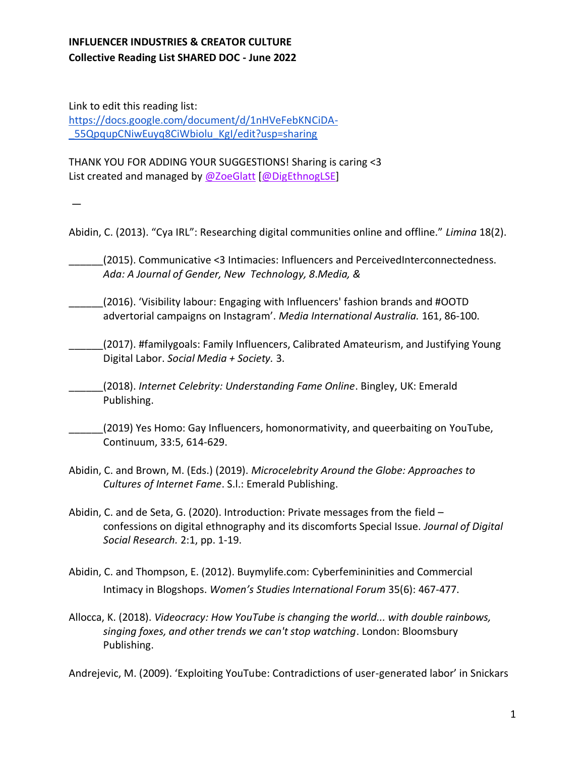Link to edit this reading list: [https://docs.google.com/document/d/1nHVeFebKNCiDA-](https://docs.google.com/document/d/1nHVeFebKNCiDA-_55QpqupCNiwEuyq8CiWbiolu_KgI/edit?usp=sharing) [\\_55QpqupCNiwEuyq8CiWbiolu\\_KgI/edit?usp=sharing](https://docs.google.com/document/d/1nHVeFebKNCiDA-_55QpqupCNiwEuyq8CiWbiolu_KgI/edit?usp=sharing)

THANK YOU FOR ADDING YOUR SUGGESTIONS! Sharing is caring <3 List created and managed by [@ZoeGlatt](https://twitter.com/ZoeGlatt) [\[@DigEthnogLSE\]](https://twitter.com/DigEthnogLSE)

—

Abidin, C. (2013). "Cya IRL": Researching digital communities online and offline." *Limina* 18(2).

\_\_\_\_\_\_(2015). Communicative <3 Intimacies: Influencers and PerceivedInterconnectedness. *Ada: A Journal of Gender, New Technology, 8*.*Media, &*

\_\_\_\_\_\_(2016). 'Visibility labour: Engaging with Influencers' fashion brands and #OOTD advertorial campaigns on Instagram'. *Media International Australia.* 161, 86-100.

(2017). #familygoals: Family Influencers, Calibrated Amateurism, and Justifying Young Digital Labor. *Social Media + Society.* 3.

\_\_\_\_\_\_(2018). *Internet Celebrity: Understanding Fame Online*. Bingley, UK: Emerald Publishing.

\_\_\_\_\_\_(2019) Yes Homo: Gay Influencers, homonormativity, and queerbaiting on YouTube, Continuum, 33:5, 614-629.

- Abidin, C. and Brown, M. (Eds.) (2019). *Microcelebrity Around the Globe: Approaches to Cultures of Internet Fame*. S.l.: Emerald Publishing.
- Abidin, C. and de Seta, G. (2020). Introduction: Private messages from the field confessions on digital ethnography and its discomforts Special Issue. *Journal of Digital Social Research.* 2:1, pp. 1-19.
- Abidin, C. and Thompson, E. (2012). Buymylife.com: Cyberfemininities and Commercial Intimacy in Blogshops. *Women's Studies International Forum* 35(6): 467-477.
- Allocca, K. (2018). *Videocracy: How YouTube is changing the world... with double rainbows, singing foxes, and other trends we can't stop watching*. London: Bloomsbury Publishing.

Andrejevic, M. (2009). 'Exploiting YouTube: Contradictions of user-generated labor' in Snickars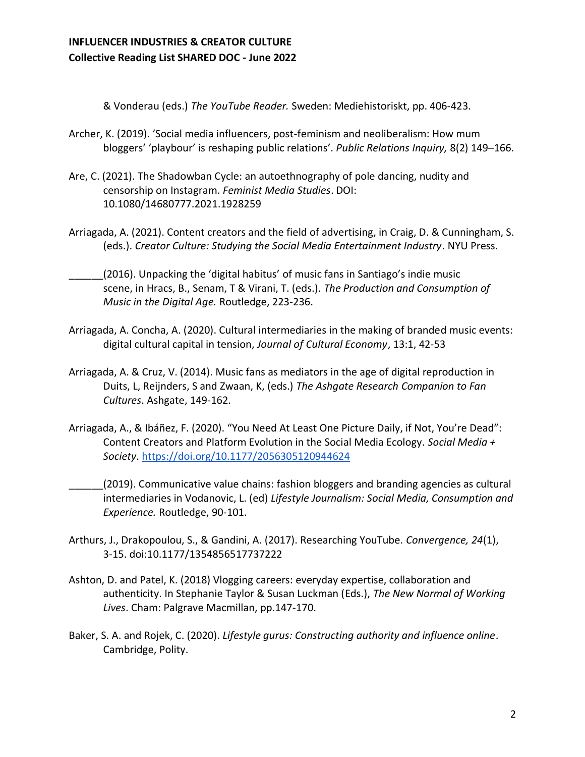& Vonderau (eds.) *The YouTube Reader.* Sweden: Mediehistoriskt, pp. 406-423.

- Archer, K. (2019). 'Social media influencers, post-feminism and neoliberalism: How mum bloggers' 'playbour' is reshaping public relations'. *Public Relations Inquiry,* 8(2) 149–166.
- Are, C. (2021). The Shadowban Cycle: an autoethnography of pole dancing, nudity and censorship on Instagram. *Feminist Media Studies*. DOI: 10.1080/14680777.2021.1928259
- Arriagada, A. (2021). Content creators and the field of advertising, in Craig, D. & Cunningham, S. (eds.). *Creator Culture: Studying the Social Media Entertainment Industry*. NYU Press.
- \_\_\_\_\_\_(2016). Unpacking the 'digital habitus' of music fans in Santiago's indie music scene, in Hracs, B., Senam, T & Virani, T. (eds.). *The Production and Consumption of Music in the Digital Age.* Routledge, 223-236.
- Arriagada, A. Concha, A. (2020). Cultural intermediaries in the making of branded music events: digital cultural capital in tension, *Journal of Cultural Economy*, 13:1, 42-53
- Arriagada, A. & Cruz, V. (2014). Music fans as mediators in the age of digital reproduction in Duits, L, Reijnders, S and Zwaan, K, (eds.) *The Ashgate Research Companion to Fan Cultures*. Ashgate, 149-162.
- Arriagada, A., & Ibáñez, F. (2020). "You Need At Least One Picture Daily, if Not, You're Dead": Content Creators and Platform Evolution in the Social Media Ecology. *Social Media + Society*.<https://doi.org/10.1177/2056305120944624>
- \_\_\_\_\_\_(2019). Communicative value chains: fashion bloggers and branding agencies as cultural intermediaries in Vodanovic, L. (ed) *Lifestyle Journalism: Social Media, Consumption and Experience.* Routledge, 90-101.
- Arthurs, J., Drakopoulou, S., & Gandini, A. (2017). Researching YouTube. *Convergence, 24*(1), 3-15. doi:10.1177/1354856517737222
- Ashton, D. and Patel, K. (2018) Vlogging careers: everyday expertise, collaboration and authenticity. In Stephanie Taylor & Susan Luckman (Eds.), *The New Normal of Working Lives*. Cham: Palgrave Macmillan, pp.147-170.
- Baker, S. A. and Rojek, C. (2020). *Lifestyle gurus: Constructing authority and influence online*. Cambridge, Polity.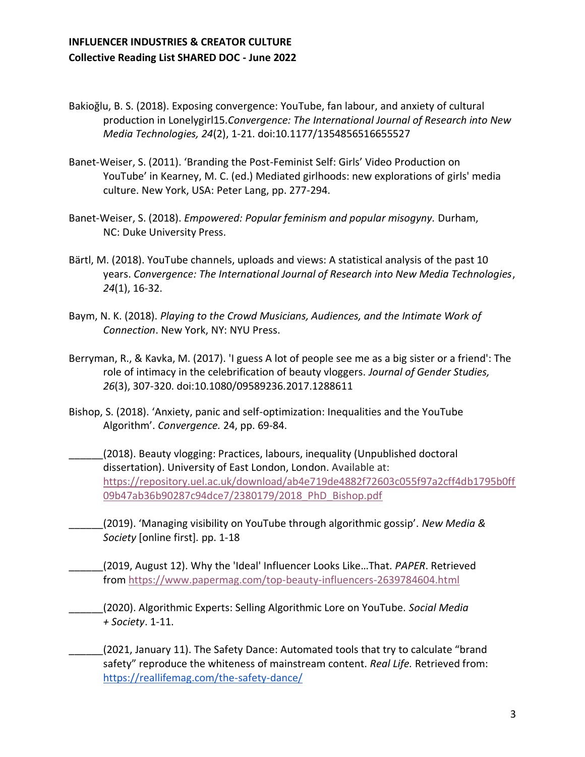- Bakioğlu, B. S. (2018). Exposing convergence: YouTube, fan labour, and anxiety of cultural production in Lonelygirl15.*Convergence: The International Journal of Research into New Media Technologies, 24*(2), 1-21. doi:10.1177/1354856516655527
- Banet-Weiser, S. (2011). 'Branding the Post-Feminist Self: Girls' Video Production on YouTube' in Kearney, M. C. (ed.) Mediated girlhoods: new explorations of girls' media culture. New York, USA: Peter Lang, pp. 277-294.
- Banet-Weiser, S. (2018). *Empowered: Popular feminism and popular misogyny.* Durham, NC: Duke University Press.
- Bärtl, M. (2018). YouTube channels, uploads and views: A statistical analysis of the past 10 years. *Convergence: The International Journal of Research into New Media Technologies*, *24*(1), 16-32.
- Baym, N. K. (2018). *Playing to the Crowd Musicians, Audiences, and the Intimate Work of Connection*. New York, NY: NYU Press.
- Berryman, R., & Kavka, M. (2017). 'I guess A lot of people see me as a big sister or a friend': The role of intimacy in the celebrification of beauty vloggers. *Journal of Gender Studies, 26*(3), 307-320. doi:10.1080/09589236.2017.1288611
- Bishop, S. (2018). 'Anxiety, panic and self-optimization: Inequalities and the YouTube Algorithm'. *Convergence.* 24, pp. 69-84.
- \_\_\_\_\_\_(2018). Beauty vlogging: Practices, labours, inequality (Unpublished doctoral dissertation). University of East London, London. Available at[:](https://repository.uel.ac.uk/download/ab4e719de4882f72603c055f97a2cff4db1795b0ff09b47ab36b90287c94dce7/2380179/2018_PhD_Bishop.pdf) [https://repository.uel.ac.uk/download/ab4e719de4882f72603c055f97a2cff4db1795b0ff](https://repository.uel.ac.uk/download/ab4e719de4882f72603c055f97a2cff4db1795b0ff09b47ab36b90287c94dce7/2380179/2018_PhD_Bishop.pdf) [09b47ab36b90287c94dce7/2380179/2018\\_PhD\\_Bishop.pdf](https://repository.uel.ac.uk/download/ab4e719de4882f72603c055f97a2cff4db1795b0ff09b47ab36b90287c94dce7/2380179/2018_PhD_Bishop.pdf)
- \_\_\_\_\_\_(2019). 'Managing visibility on YouTube through algorithmic gossip'. *New Media & Society* [online first]*.* pp. 1-18
- \_\_\_\_\_\_(2019, August 12). Why the 'Ideal' Influencer Looks Like…That. *PAPER*. Retrieved from <https://www.papermag.com/top-beauty-influencers-2639784604.html>
- \_\_\_\_\_\_(2020). Algorithmic Experts: Selling Algorithmic Lore on YouTube. *Social Media + Society*. 1-11.
- (2021, January 11). The Safety Dance: Automated tools that try to calculate "brand safety" reproduce the whiteness of mainstream content. *Real Life.* Retrieved from: <https://reallifemag.com/the-safety-dance/>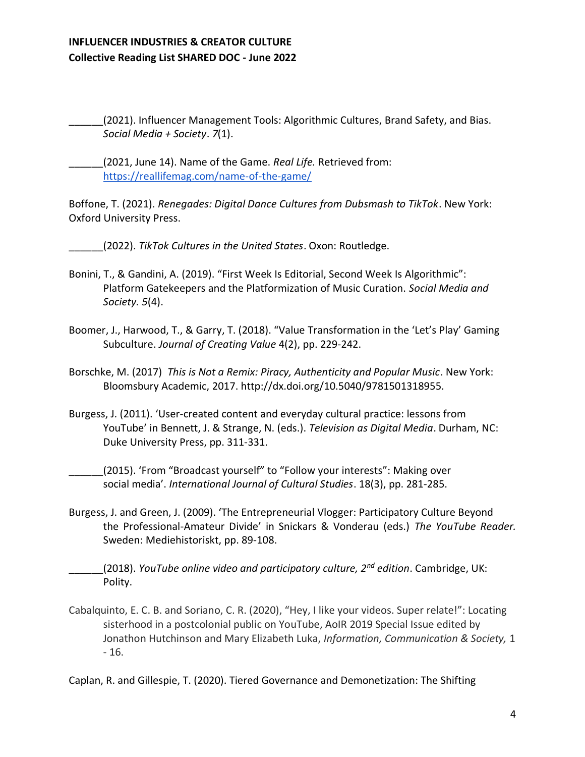\_\_\_\_\_\_(2021). Influencer Management Tools: Algorithmic Cultures, Brand Safety, and Bias. *Social Media + Society*. *7*(1).

\_\_\_\_\_\_(2021, June 14). Name of the Game. *Real Life.* Retrieved from: <https://reallifemag.com/name-of-the-game/>

Boffone, T. (2021). *Renegades: Digital Dance Cultures from Dubsmash to TikTok*. New York: Oxford University Press.

\_\_\_\_\_\_(2022). *TikTok Cultures in the United States*. Oxon: Routledge.

- Bonini, T., & Gandini, A. (2019). "First Week Is Editorial, Second Week Is Algorithmic": Platform Gatekeepers and the Platformization of Music Curation. *Social Media and Society. 5*(4).
- Boomer, J., Harwood, T., & Garry, T. (2018). "Value Transformation in the 'Let's Play' Gaming Subculture. *Journal of Creating Value* 4(2), pp. 229-242.
- Borschke, M. (2017) *This is Not a Remix: Piracy, Authenticity and Popular Music*. New York: Bloomsbury Academic, 2017. http://dx.doi.org/10.5040/9781501318955.
- Burgess, J. (2011). 'User-created content and everyday cultural practice: lessons from YouTube' in Bennett, J. & Strange, N. (eds.). *Television as Digital Media*. Durham, NC: Duke University Press, pp. 311‐331.

(2015). 'From "Broadcast yourself" to "Follow your interests": Making over social media'. *International Journal of Cultural Studies*. 18(3), pp. 281-285.

Burgess, J. and Green, J. (2009). 'The Entrepreneurial Vlogger: Participatory Culture Beyond the Professional-Amateur Divide' in Snickars & Vonderau (eds.) *The YouTube Reader.*  Sweden: Mediehistoriskt, pp. 89-108.

\_\_\_\_\_\_(2018). *YouTube online video and participatory culture, 2nd edition*. Cambridge, UK: Polity.

Cabalquinto, E. C. B. and Soriano, C. R. (2020), "Hey, I like your videos. Super relate!": Locating sisterhood in a postcolonial public on YouTube, AoIR 2019 Special Issue edited by Jonathon Hutchinson and Mary Elizabeth Luka, *Information, Communication & Society,* 1 - 16.

Caplan, R. and Gillespie, T. (2020). Tiered Governance and Demonetization: The Shifting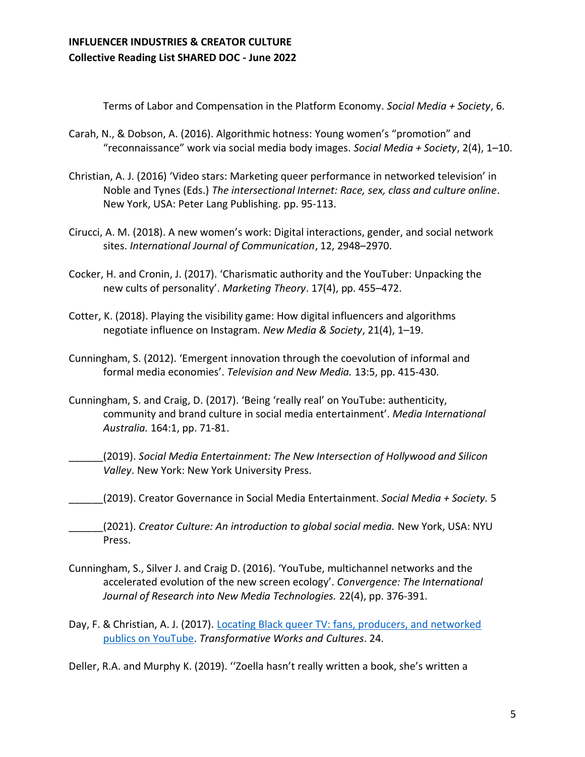Terms of Labor and Compensation in the Platform Economy. *Social Media + Society*, 6.

- Carah, N., & Dobson, A. (2016). Algorithmic hotness: Young women's "promotion" and "reconnaissance" work via social media body images. *Social Media + Society*, 2(4), 1–10.
- Christian, A. J. (2016) 'Video stars: Marketing queer performance in networked television' in Noble and Tynes (Eds.) *The intersectional Internet: Race, sex, class and culture online*. New York, USA: Peter Lang Publishing. pp. 95-113.
- Cirucci, A. M. (2018). A new women's work: Digital interactions, gender, and social network sites. *International Journal of Communication*, 12, 2948–2970.
- Cocker, H. and Cronin, J. (2017). 'Charismatic authority and the YouTuber: Unpacking the new cults of personality'. *Marketing Theory*. 17(4), pp. 455–472.
- Cotter, K. (2018). Playing the visibility game: How digital influencers and algorithms negotiate influence on Instagram. *New Media & Society*, 21(4), 1–19.
- Cunningham, S. (2012). 'Emergent innovation through the coevolution of informal and formal media economies'. *Television and New Media.* 13:5, pp. 415-430.
- Cunningham, S. and Craig, D. (2017). 'Being 'really real' on YouTube: authenticity, community and brand culture in social media entertainment'. *Media International Australia.* 164:1, pp. 71-81.
- \_\_\_\_\_\_(2019). *Social Media Entertainment: The New Intersection of Hollywood and Silicon Valley*. New York: New York University Press.
- \_\_\_\_\_\_(2019). Creator Governance in Social Media Entertainment. *Social Media + Society.* 5

\_\_\_\_\_\_(2021). *Creator Culture: An introduction to global social media.* New York, USA: NYU Press.

- Cunningham, S., Silver J. and Craig D. (2016). 'YouTube, multichannel networks and the accelerated evolution of the new screen ecology'. *Convergence: The International Journal of Research into New Media Technologies.* 22(4), pp. 376-391.
- Day, F. & Christian, A. J. (2017). Locating Black queer TV: fans, producers, and networked publics on YouTube. *Transformative Works and Cultures*. 24.
- Deller, R.A. and Murphy K. (2019). ''Zoella hasn't really written a book, she's written a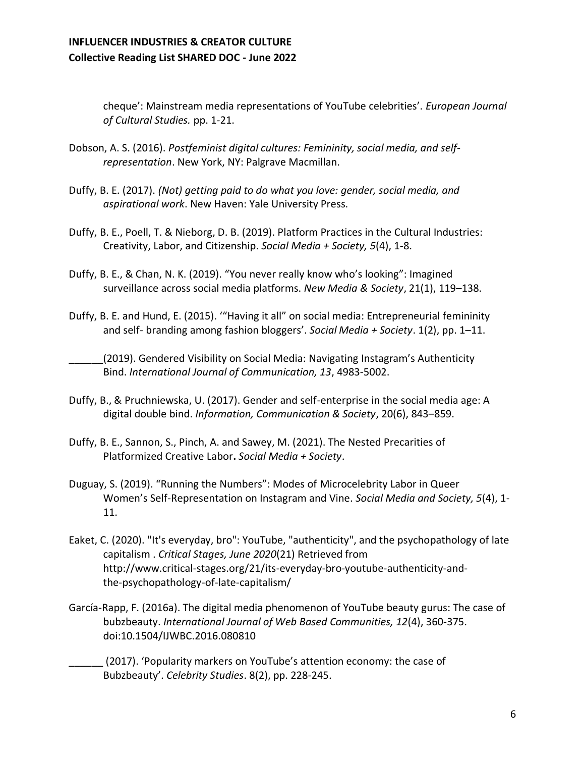cheque': Mainstream media representations of YouTube celebrities'. *European Journal of Cultural Studies.* pp. 1-21.

- Dobson, A. S. (2016). *Postfeminist digital cultures: Femininity, social media, and selfrepresentation*. New York, NY: Palgrave Macmillan.
- Duffy, B. E. (2017). *(Not) getting paid to do what you love: gender, social media, and aspirational work*. New Haven: Yale University Press.
- Duffy, B. E., Poell, T. & Nieborg, D. B. (2019). Platform Practices in the Cultural Industries: Creativity, Labor, and Citizenship. *Social Media + Society, 5*(4), 1-8.
- Duffy, B. E., & Chan, N. K. (2019). "You never really know who's looking": Imagined surveillance across social media platforms. *New Media & Society*, 21(1), 119–138.
- Duffy, B. E. and Hund, E. (2015). '"Having it all" on social media: Entrepreneurial femininity and self- branding among fashion bloggers'. *Social Media + Society*. 1(2), pp. 1–11.

(2019). Gendered Visibility on Social Media: Navigating Instagram's Authenticity Bind. *International Journal of Communication, 13*, 4983-5002.

- Duffy, B., & Pruchniewska, U. (2017). Gender and self-enterprise in the social media age: A digital double bind. *Information, Communication & Society*, 20(6), 843–859.
- Duffy, B. E., Sannon, S., Pinch, A. and Sawey, M. (2021). The Nested Precarities of Platformized Creative Labor**.** *Social Media + Society*.
- Duguay, S. (2019). "Running the Numbers": Modes of Microcelebrity Labor in Queer Women's Self-Representation on Instagram and Vine. *Social Media and Society, 5*(4), 1- 11.
- Eaket, C. (2020). "It's everyday, bro": YouTube, "authenticity", and the psychopathology of late capitalism . *Critical Stages, June 2020*(21) Retrieved from http://www.critical-stages.org/21/its-everyday-bro-youtube-authenticity-andthe-psychopathology-of-late-capitalism/
- García-Rapp, F. (2016a). The digital media phenomenon of YouTube beauty gurus: The case of bubzbeauty. *International Journal of Web Based Communities, 12*(4), 360-375. doi:10.1504/IJWBC.2016.080810
	- \_\_\_\_\_\_ (2017). 'Popularity markers on YouTube's attention economy: the case of Bubzbeauty'. *Celebrity Studies*. 8(2), pp. 228-245.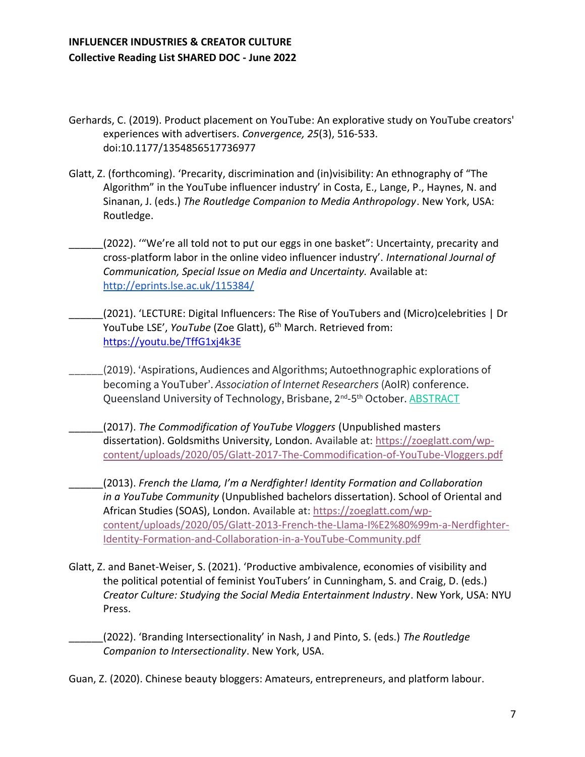- Gerhards, C. (2019). Product placement on YouTube: An explorative study on YouTube creators' experiences with advertisers. *Convergence, 25*(3), 516-533. doi:10.1177/1354856517736977
- Glatt, Z. (forthcoming). 'Precarity, discrimination and (in)visibility: An ethnography of "The Algorithm" in the YouTube influencer industry' in Costa, E., Lange, P., Haynes, N. and Sinanan, J. (eds.) *The Routledge Companion to Media Anthropology*. New York, USA: Routledge.
- (2022). "We're all told not to put our eggs in one basket": Uncertainty, precarity and cross-platform labor in the online video influencer industry'. *International Journal of Communication, Special Issue on Media and Uncertainty.* Available at: <http://eprints.lse.ac.uk/115384/>
- \_\_\_\_\_\_(2021). 'LECTURE: Digital Influencers: The Rise of YouTubers and (Micro)celebrities | Dr YouTube LSE', *YouTube* (Zoe Glatt), 6<sup>th</sup> March. Retrieved from[:](https://www.youtube.com/watch?v=cmv6s3flYe4&t=1s) https://youtu.be/TffG1xj4k3E
- \_\_\_\_\_\_(2019). 'Aspirations, Audiences and Algorithms; Autoethnographic explorations of becoming a YouTuber'. *Association of Internet Researchers* (AoIR) conference. Queensland University of Technology, Brisbane, 2<sup>nd</sup>-5<sup>th</sup> Octobe[r.](https://zoeglatt.com/wp-content/uploads/2021/12/Zoe-Glatt-AoIR-2019-abstract-FINAL.pdf) <u>[ABSTRACT](https://zoeglatt.com/wp-content/uploads/2021/12/Zoe-Glatt-AoIR-2019-abstract-FINAL.pdf)</u>
- \_\_\_\_\_\_(2017). *The Commodification of YouTube Vloggers* (Unpublished masters dissertation). Goldsmiths University, London. Available at[:](https://zoeglatt.com/wp-content/uploads/2020/05/Glatt-2017-The-Commodification-of-YouTube-Vloggers.pdf) [https://zoeglatt.com/wp](https://zoeglatt.com/wp-content/uploads/2020/05/Glatt-2017-The-Commodification-of-YouTube-Vloggers.pdf)[content/uploads/2020/05/Glatt-2017-The-Commodification-of-YouTube-Vloggers.pdf](https://zoeglatt.com/wp-content/uploads/2020/05/Glatt-2017-The-Commodification-of-YouTube-Vloggers.pdf)
- \_\_\_\_\_\_(2013). *French the Llama, I'm a Nerdfighter! Identity Formation and Collaboration in a YouTube Community* (Unpublished bachelors dissertation). School of Oriental and African Studies (SOAS), London. Available at: [https://zoeglatt.com/wp](https://zoeglatt.com/wp-content/uploads/2020/05/Glatt-2013-French-the-Llama-I%E2%80%99m-a-Nerdfighter-Identity-Formation-and-Collaboration-in-a-YouTube-Community.pdf)[content/uploads/2020/05/Glatt-2013-French-the-Llama-I%E2%80%99m-a-Nerdfighter-](https://zoeglatt.com/wp-content/uploads/2020/05/Glatt-2013-French-the-Llama-I%E2%80%99m-a-Nerdfighter-Identity-Formation-and-Collaboration-in-a-YouTube-Community.pdf)[Identity-Formation-and-Collaboration-in-a-YouTube-Community.pdf](https://zoeglatt.com/wp-content/uploads/2020/05/Glatt-2013-French-the-Llama-I%E2%80%99m-a-Nerdfighter-Identity-Formation-and-Collaboration-in-a-YouTube-Community.pdf)
- Glatt, Z. and Banet-Weiser, S. (2021). 'Productive ambivalence, economies of visibility and the political potential of feminist YouTubers' in Cunningham, S. and Craig, D. (eds.) *Creator Culture: Studying the Social Media Entertainment Industry*. New York, USA: NYU Press.
	- \_\_\_\_\_\_(2022). 'Branding Intersectionality' in Nash, J and Pinto, S. (eds.) *The Routledge Companion to Intersectionality*. New York, USA.
- Guan, Z. (2020). Chinese beauty bloggers: Amateurs, entrepreneurs, and platform labour.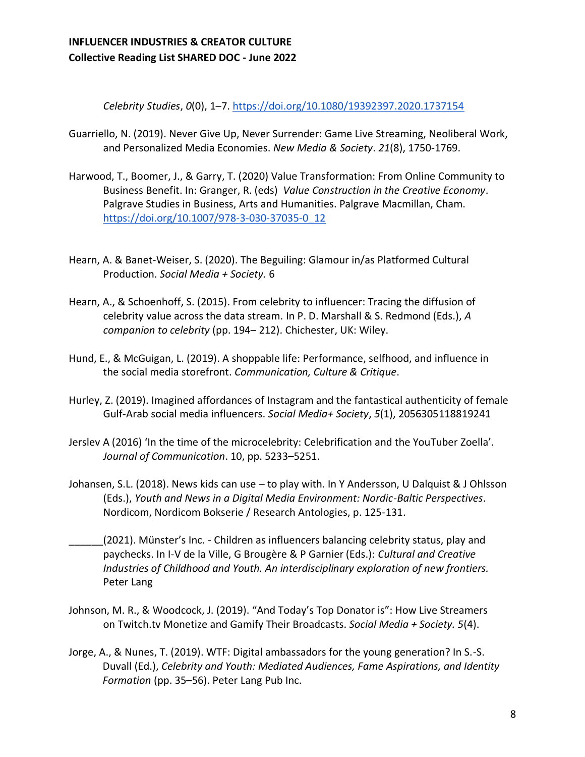*Celebrity Studies*, *0*(0), 1–7[.](https://doi.org/10.1080/19392397.2020.1737154) <https://doi.org/10.1080/19392397.2020.1737154>

- Guarriello, N. (2019). Never Give Up, Never Surrender: Game Live Streaming, Neoliberal Work, and Personalized Media Economies. *New Media & Society*. *21*(8), 1750-1769.
- Harwood, T., Boomer, J., & Garry, T. (2020) Value Transformation: From Online Community to Business Benefit. In: Granger, R. (eds) *Value Construction in the Creative Economy*. Palgrave Studies in Business, Arts and Humanities. Palgrave Macmillan, Cham. [https://doi.org/10.1007/978-3-030-37035-0\\_12](https://doi.org/10.1007/978-3-030-37035-0_12)
- Hearn, A. & Banet-Weiser, S. (2020). The Beguiling: Glamour in/as Platformed Cultural Production. *Social Media + Society.* 6
- Hearn, A., & Schoenhoff, S. (2015). From celebrity to influencer: Tracing the diffusion of celebrity value across the data stream. In P. D. Marshall & S. Redmond (Eds.), *A companion to celebrity* (pp. 194– 212). Chichester, UK: Wiley.
- Hund, E., & McGuigan, L. (2019). A shoppable life: Performance, selfhood, and influence in the social media storefront. *Communication, Culture & Critique*.
- Hurley, Z. (2019). Imagined affordances of Instagram and the fantastical authenticity of female Gulf-Arab social media influencers. *Social Media+ Society*, *5*(1), 2056305118819241
- Jerslev A (2016) 'In the time of the microcelebrity: Celebrification and the YouTuber Zoella'. *Journal of Communication*. 10, pp. 5233–5251.
- Johansen, S.L. (2018). News kids can use to play with. In Y Andersson, U Dalquist & J Ohlsson (Eds.), *Youth and News in a Digital Media Environment: Nordic-Baltic Perspectives*. Nordicom, Nordicom Bokserie / Research Antologies, p. 125-131.
- (2021). Münster's Inc. Children as influencers balancing celebrity status, play and paychecks. In I-V de la Ville, G Brougère & P Garnier (Eds.): *Cultural and Creative Industries of Childhood and Youth. An interdisciplinary exploration of new frontiers.*  Peter Lang
- Johnson, M. R., & Woodcock, J. (2019). "And Today's Top Donator is": How Live Streamers on Twitch.tv Monetize and Gamify Their Broadcasts. *Social Media + Society. 5*(4).
- Jorge, A., & Nunes, T. (2019). WTF: Digital ambassadors for the young generation? In S.-S. Duvall (Ed.), *Celebrity and Youth: Mediated Audiences, Fame Aspirations, and Identity Formation* (pp. 35–56). Peter Lang Pub Inc[.](https://www.peterlang.com/view/title/64433)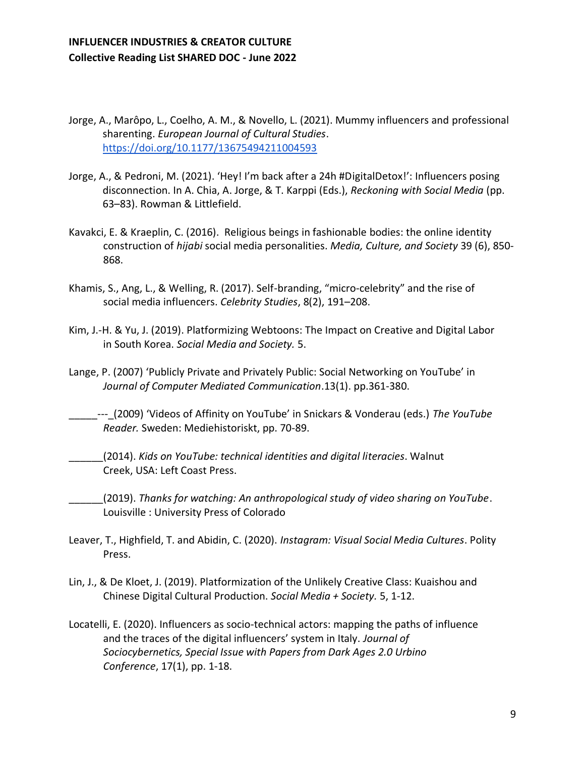- Jorge, A., Marôpo, L., Coelho, A. M., & Novello, L. (2021). Mummy influencers and professional sharenting. *European Journal of Cultural Studies*[.](https://doi.org/10.1177/13675494211004593) <https://doi.org/10.1177/13675494211004593>
- Jorge, A., & Pedroni, M. (2021). 'Hey! I'm back after a 24h #DigitalDetox!': Influencers posing disconnection. In A. Chia, A. Jorge, & T. Karppi (Eds.), *Reckoning with Social Media* (pp. 63–83). Rowman & Littlefield.
- Kavakci, E. & Kraeplin, C. (2016). Religious beings in fashionable bodies: the online identity construction of *hijabi* social media personalities. *Media, Culture, and Society* 39 (6), 850- 868.
- Khamis, S., Ang, L., & Welling, R. (2017). Self-branding, "micro-celebrity" and the rise of social media influencers. *Celebrity Studies*, 8(2), 191–208.
- Kim, J.-H. & Yu, J. (2019). Platformizing Webtoons: The Impact on Creative and Digital Labor in South Korea. *Social Media and Society.* 5.
- Lange, P. (2007) 'Publicly Private and Privately Public: Social Networking on YouTube' in *Journal of Computer Mediated Communication*.13(1). pp.361-380.

\_\_\_\_\_‐‐‐\_(2009) 'Videos of Affinity on YouTube' in Snickars & Vonderau (eds.) *The YouTube Reader.* Sweden: Mediehistoriskt, pp. 70-89.

\_\_\_\_\_\_(2014). *Kids on YouTube: technical identities and digital literacies*. Walnut Creek, USA: Left Coast Press.

\_\_\_\_\_\_(2019). *Thanks for watching: An anthropological study of video sharing on YouTube*. Louisville : University Press of Colorado

- Leaver, T., Highfield, T. and Abidin, C. (2020). *Instagram: Visual Social Media Cultures*. Polity Press.
- Lin, J., & De Kloet, J. (2019). Platformization of the Unlikely Creative Class: Kuaishou and Chinese Digital Cultural Production. *Social Media + Society.* 5, 1-12.
- Locatelli, E. (2020). Influencers as socio-technical actors: mapping the paths of influence and the traces of the digital influencers' system in Italy. *Journal of Sociocybernetics, Special Issue with Papers from Dark Ages 2.0 Urbino Conference*, 17(1), pp. 1-18.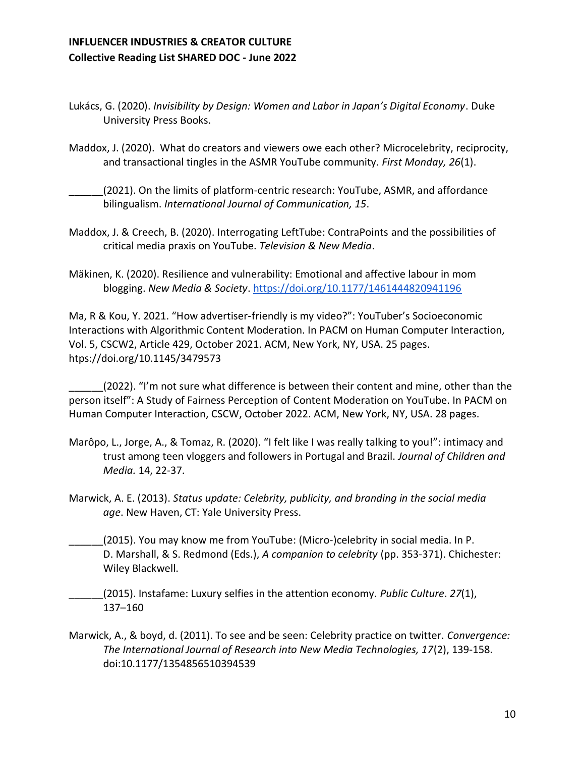- Lukács, G. (2020). *Invisibility by Design: Women and Labor in Japan's Digital Economy*. Duke University Press Books[.](https://www.combinedacademic.co.uk/9781478006480/invisibility-by-design)
- Maddox, J. (2020). What do creators and viewers owe each other? Microcelebrity, reciprocity, and transactional tingles in the ASMR YouTube community. *First Monday, 26*(1).
- \_\_\_\_\_\_(2021). On the limits of platform-centric research: YouTube, ASMR, and affordance bilingualism. *International Journal of Communication, 15*.
- Maddox, J. & Creech, B. (2020). Interrogating LeftTube: ContraPoints and the possibilities of critical media praxis on YouTube. *Television & New Media*.
- Mäkinen, K. (2020). Resilience and vulnerability: Emotional and affective labour in mom blogging. *New Media & Society*[.](https://doi.org/10.1177/1461444820941196) <https://doi.org/10.1177/1461444820941196>

Ma, R & Kou, Y. 2021. "How advertiser-friendly is my video?": YouTuber's Socioeconomic Interactions with Algorithmic Content Moderation. In PACM on Human Computer Interaction, Vol. 5, CSCW2, Article 429, October 2021. ACM, New York, NY, USA. 25 pages. htps://doi.org/10.1145/3479573

(2022). "I'm not sure what difference is between their content and mine, other than the person itself": A Study of Fairness Perception of Content Moderation on YouTube. In PACM on Human Computer Interaction, CSCW, October 2022. ACM, New York, NY, USA. 28 pages.

- Marôpo, L., Jorge, A., & Tomaz, R. (2020). "I felt like I was really talking to you!": intimacy and trust among teen vloggers and followers in Portugal and Brazil. *Journal of Children and Media.* 14, 22-37.
- Marwick, A. E. (2013). *Status update: Celebrity, publicity, and branding in the social media age*. New Haven, CT: Yale University Press.
- (2015). You may know me from YouTube: (Micro-)celebrity in social media. In P. D. Marshall, & S. Redmond (Eds.), *A companion to celebrity* (pp. 353-371). Chichester: Wiley Blackwell.
- \_\_\_\_\_\_(2015). Instafame: Luxury selfies in the attention economy*. Public Culture*. *27*(1), 137–160
- Marwick, A., & boyd, d. (2011). To see and be seen: Celebrity practice on twitter. *Convergence: The International Journal of Research into New Media Technologies, 17*(2), 139-158. doi:10.1177/1354856510394539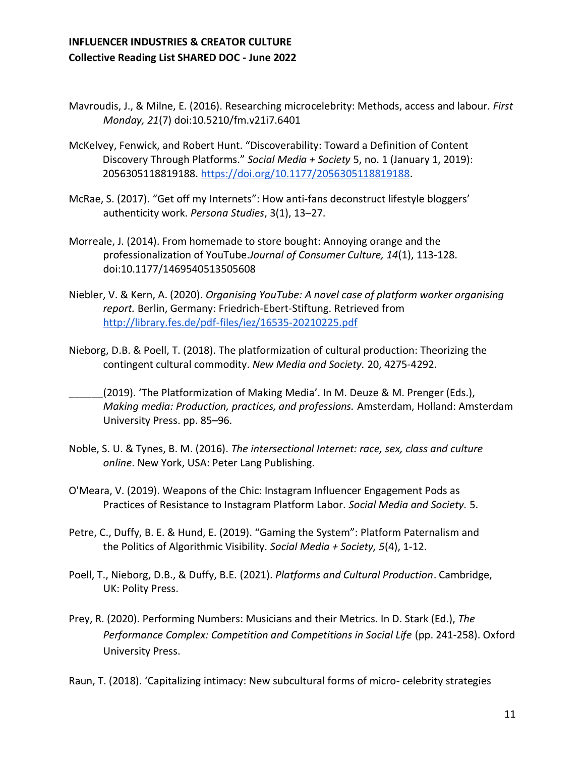- Mavroudis, J., & Milne, E. (2016). Researching microcelebrity: Methods, access and labour. *First Monday, 21*(7) doi:10.5210/fm.v21i7.6401
- McKelvey, Fenwick, and Robert Hunt. "Discoverability: Toward a Definition of Content Discovery Through Platforms." *Social Media + Society* 5, no. 1 (January 1, 2019): 2056305118819188. [https://doi.org/10.1177/2056305118819188.](https://doi.org/10.1177/2056305118819188)
- McRae, S. (2017). "Get off my Internets": How anti-fans deconstruct lifestyle bloggers' authenticity work. *Persona Studies*, 3(1), 13–27.
- Morreale, J. (2014). From homemade to store bought: Annoying orange and the professionalization of YouTube.*Journal of Consumer Culture, 14*(1), 113-128. doi:10.1177/1469540513505608
- Niebler, V. & Kern, A. (2020). *Organising YouTube: A novel case of platform worker organising report.* Berlin, Germany: Friedrich-Ebert-Stiftung. Retrieved from <http://library.fes.de/pdf-files/iez/16535-20210225.pdf>
- Nieborg, D.B. & Poell, T. (2018). The platformization of cultural production: Theorizing the contingent cultural commodity. *New Media and Society.* 20, 4275-4292.
- (2019). 'The Platformization of Making Media'. In M. Deuze & M. Prenger (Eds.), *Making media: Production, practices, and professions.* Amsterdam, Holland: Amsterdam University Press. pp. 85–96.
- Noble, S. U. & Tynes, B. M. (2016). *The intersectional Internet: race, sex, class and culture online*. New York, USA: Peter Lang Publishing.
- O'Meara, V. (2019). Weapons of the Chic: Instagram Influencer Engagement Pods as Practices of Resistance to Instagram Platform Labor. *Social Media and Society.* 5.
- Petre, C., Duffy, B. E. & Hund, E. (2019). "Gaming the System": Platform Paternalism and the Politics of Algorithmic Visibility. *Social Media + Society, 5*(4), 1-12.
- Poell, T., Nieborg, D.B., & Duffy, B.E. (2021). *Platforms and Cultural Production*. Cambridge, UK: Polity Press.
- Prey, R. (2020). Performing Numbers: Musicians and their Metrics. In D. Stark (Ed.), *The Performance Complex: Competition and Competitions in Social Life* (pp. 241-258). Oxford University Press.

Raun, T. (2018). 'Capitalizing intimacy: New subcultural forms of micro- celebrity strategies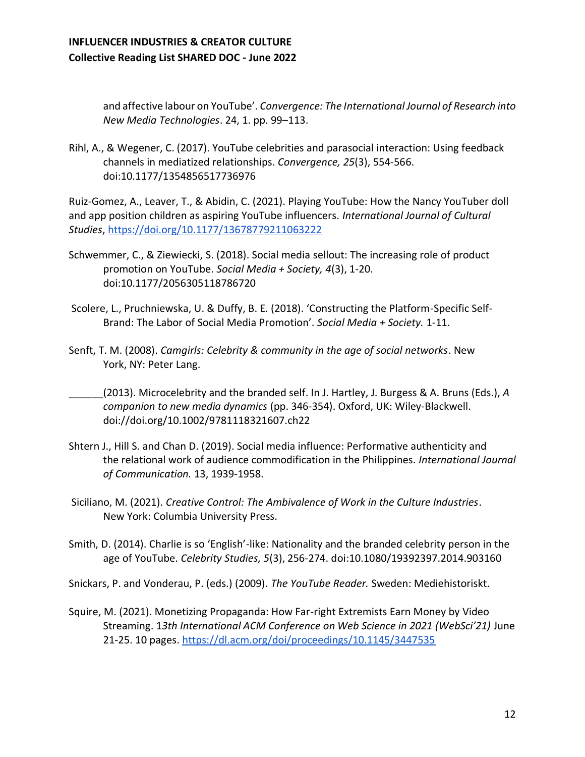and affective labour on YouTube'. *Convergence: The International Journal of Research into New Media Technologies*. 24, 1. pp. 99–113.

Rihl, A., & Wegener, C. (2017). YouTube celebrities and parasocial interaction: Using feedback channels in mediatized relationships. *Convergence, 25*(3), 554-566. doi:10.1177/1354856517736976

Ruiz-Gomez, A., Leaver, T., & Abidin, C. (2021). Playing YouTube: How the Nancy YouTuber doll and app position children as aspiring YouTube influencers. *International Journal of Cultural Studies*[, https://doi.org/10.1177/13678779211063222](https://doi.org/10.1177/13678779211063222) 

- Schwemmer, C., & Ziewiecki, S. (2018). Social media sellout: The increasing role of product promotion on YouTube. *Social Media + Society, 4*(3), 1-20. doi:10.1177/2056305118786720
- Scolere, L., Pruchniewska, U. & Duffy, B. E. (2018). 'Constructing the Platform-Specific Self-Brand: The Labor of Social Media Promotion'. *Social Media + Society.* 1-11.
- Senft, T. M. (2008). *Camgirls: Celebrity & community in the age of social networks*. New York, NY: Peter Lang.
- \_\_\_\_\_\_(2013). Microcelebrity and the branded self. In J. Hartley, J. Burgess & A. Bruns (Eds.), *A companion to new media dynamics* (pp. 346-354). Oxford, UK: Wiley‐Blackwell. doi://doi.org/10.1002/9781118321607.ch22
- Shtern J., Hill S. and Chan D. (2019). Social media influence: Performative authenticity and the relational work of audience commodification in the Philippines. *International Journal of Communication.* 13, 1939-1958.
- Siciliano, M. (2021). *Creative Control: The Ambivalence of Work in the Culture Industries*. New York: Columbia University Press.
- Smith, D. (2014). Charlie is so 'English'-like: Nationality and the branded celebrity person in the age of YouTube. *Celebrity Studies, 5*(3), 256-274. doi:10.1080/19392397.2014.903160

Snickars, P. and Vonderau, P. (eds.) (2009). *The YouTube Reader.* Sweden: Mediehistoriskt.

Squire, M. (2021). Monetizing Propaganda: How Far-right Extremists Earn Money by Video Streaming. 1*3th International ACM Conference on Web Science in 2021 (WebSci'21)* June 21-25. 10 pages[. https://dl.acm.org/doi/proceedings/10.1145/3447535](https://dl.acm.org/doi/proceedings/10.1145/3447535)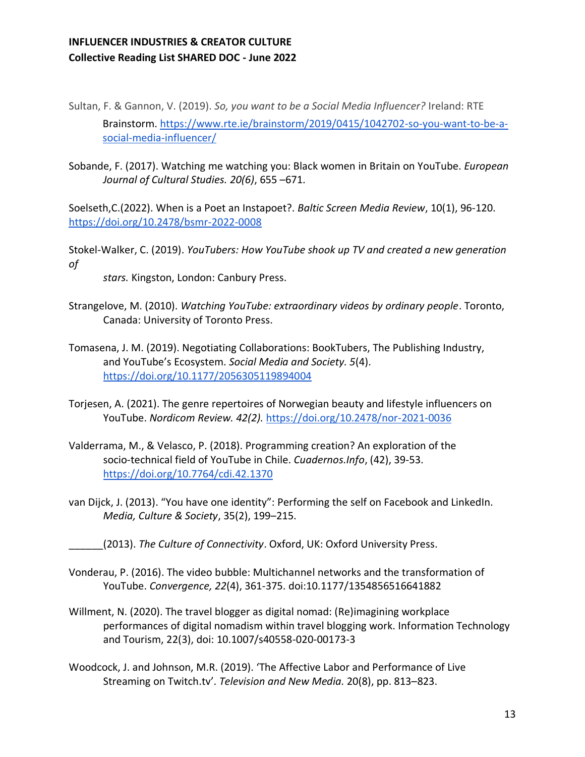Sultan, F. & Gannon, V. (2019). *So, you want to be a Social Media Influencer?* Ireland: RTE Brainstorm. [https://www.rte.ie/brainstorm/2019/0415/1042702-so-you-want-to-be-a](https://www.rte.ie/brainstorm/2019/0415/1042702-so-you-want-to-be-a-social-media-influencer/)[social-media-influencer/](https://www.rte.ie/brainstorm/2019/0415/1042702-so-you-want-to-be-a-social-media-influencer/)

Sobande, F. (2017). Watching me watching you: Black women in Britain on YouTube. *European Journal of Cultural Studies. 20(6)*, 655 –671.

Soelseth,C.(2022). When is a Poet an Instapoet?. *Baltic Screen Media Review*, 10(1), 96-120. <https://doi.org/10.2478/bsmr-2022-0008>

Stokel-Walker, C. (2019). *YouTubers: How YouTube shook up TV and created a new generation of* 

*stars.* Kingston, London: Canbury Press.

- Strangelove, M. (2010). *Watching YouTube: extraordinary videos by ordinary people*. Toronto, Canada: University of Toronto Press.
- Tomasena, J. M. (2019). Negotiating Collaborations: BookTubers, The Publishing Industry, and YouTube's Ecosystem. *Social Media and Society. 5*(4). <https://doi.org/10.1177/2056305119894004>
- Torjesen, A. (2021). The genre repertoires of Norwegian beauty and lifestyle influencers on YouTube. *Nordicom Review. 42(2).* <https://doi.org/10.2478/nor-2021-0036>
- Valderrama, M., & Velasco, P. (2018). Programming creation? An exploration of the socio-technical field of YouTube in Chile. *Cuadernos.Info*, (42), 39-53. <https://doi.org/10.7764/cdi.42.1370>
- van Dijck, J. (2013). "You have one identity": Performing the self on Facebook and LinkedIn. *Media, Culture & Society*, 35(2), 199–215.
	- \_\_\_\_\_\_(2013). *The Culture of Connectivity*. Oxford, UK: Oxford University Press.
- Vonderau, P. (2016). The video bubble: Multichannel networks and the transformation of YouTube. *Convergence, 22*(4), 361-375. doi:10.1177/1354856516641882
- Willment, N. (2020). The travel blogger as digital nomad: (Re)imagining workplace performances of digital nomadism within travel blogging work. Information Technology and Tourism, 22(3), doi: 10.1007/s40558-020-00173-3
- Woodcock, J. and Johnson, M.R. (2019). 'The Affective Labor and Performance of Live Streaming on Twitch.tv'. *Television and New Media.* 20(8), pp. 813–823.